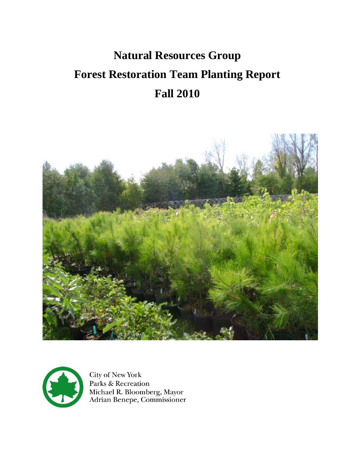# **Natural Resources Group Forest Restoration Team Planting Report Fall 2010**





City of New York Parks & Recreation Michael R. Bloomberg, Mayor<br>Adrian Benepe, Commissioner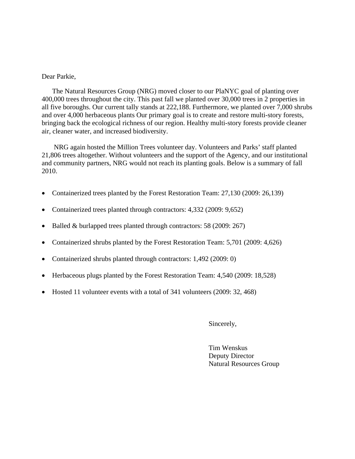#### Dear Parkie,

The Natural Resources Group (NRG) moved closer to our PlaNYC goal of planting over 400,000 trees throughout the city. This past fall we planted over 30,000 trees in 2 properties in all five boroughs. Our current tally stands at 222,188. Furthermore, we planted over 7,000 shrubs and over 4,000 herbaceous plants Our primary goal is to create and restore multi-story forests, bringing back the ecological richness of our region. Healthy multi-story forests provide cleaner air, cleaner water, and increased biodiversity.

NRG again hosted the Million Trees volunteer day. Volunteers and Parks' staff planted 21,806 trees altogether. Without volunteers and the support of the Agency, and our institutional and community partners, NRG would not reach its planting goals. Below is a summary of fall 2010.

- Containerized trees planted by the Forest Restoration Team: 27,130 (2009: 26,139)
- Containerized trees planted through contractors: 4,332 (2009: 9,652)
- Balled & burlapped trees planted through contractors: 58 (2009: 267)
- Containerized shrubs planted by the Forest Restoration Team: 5,701 (2009: 4,626)
- Containerized shrubs planted through contractors: 1,492 (2009: 0)
- Herbaceous plugs planted by the Forest Restoration Team: 4,540 (2009: 18,528)
- Hosted 11 volunteer events with a total of 341 volunteers (2009: 32, 468)

Sincerely,

 Tim Wenskus Deputy Director Natural Resources Group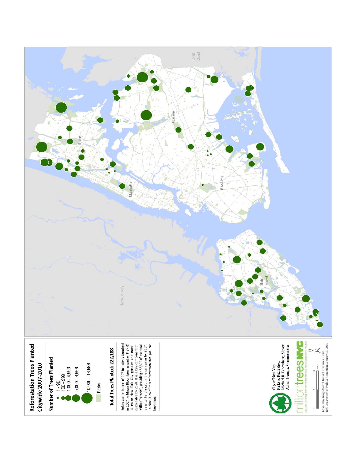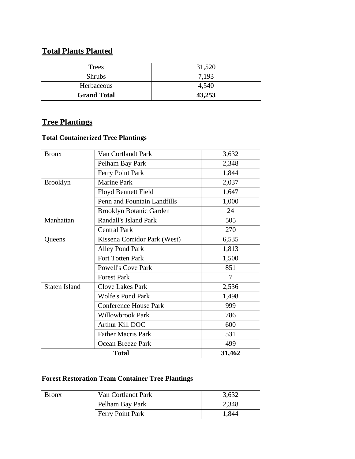# **Total Plants Planted**

| Trees              | 31,520 |
|--------------------|--------|
| <b>Shrubs</b>      | 7,193  |
| Herbaceous         | 4,540  |
| <b>Grand Total</b> | 43,253 |

# **Tree Plantings**

#### **Total Containerized Tree Plantings**

| <b>Bronx</b>         | Van Cortlandt Park             | 3,632  |
|----------------------|--------------------------------|--------|
|                      | Pelham Bay Park                | 2,348  |
|                      | Ferry Point Park               | 1,844  |
| <b>Brooklyn</b>      | <b>Marine Park</b>             | 2,037  |
|                      | <b>Floyd Bennett Field</b>     | 1,647  |
|                      | Penn and Fountain Landfills    | 1,000  |
|                      | <b>Brooklyn Botanic Garden</b> | 24     |
| Manhattan            | <b>Randall's Island Park</b>   | 505    |
|                      | <b>Central Park</b>            | 270    |
| Queens               | Kissena Corridor Park (West)   | 6,535  |
|                      | Alley Pond Park                | 1,813  |
|                      | <b>Fort Totten Park</b>        | 1,500  |
|                      | <b>Powell's Cove Park</b>      | 851    |
|                      | <b>Forest Park</b>             | 7      |
| <b>Staten Island</b> | <b>Clove Lakes Park</b>        | 2,536  |
|                      | <b>Wolfe's Pond Park</b>       | 1,498  |
|                      | <b>Conference House Park</b>   | 999    |
|                      | <b>Willowbrook Park</b>        | 786    |
|                      | Arthur Kill DOC                | 600    |
|                      | <b>Father Macris Park</b>      | 531    |
|                      | <b>Ocean Breeze Park</b>       | 499    |
|                      | <b>Total</b>                   | 31,462 |

# **Forest Restoration Team Container Tree Plantings**

| <b>Bronx</b> | Van Cortlandt Park | 3,632 |
|--------------|--------------------|-------|
|              | Pelham Bay Park    | 2,348 |
|              | Ferry Point Park   | 1,844 |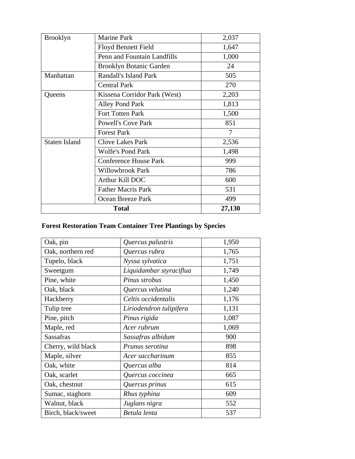| <b>Brooklyn</b>      | <b>Marine Park</b>             | 2,037          |
|----------------------|--------------------------------|----------------|
|                      | <b>Floyd Bennett Field</b>     | 1,647          |
|                      | Penn and Fountain Landfills    | 1,000          |
|                      | <b>Brooklyn Botanic Garden</b> | 24             |
| Manhattan            | Randall's Island Park          | 505            |
|                      | <b>Central Park</b>            | 270            |
| Queens               | Kissena Corridor Park (West)   | 2,203          |
|                      | <b>Alley Pond Park</b>         | 1,813          |
|                      | Fort Totten Park               | 1,500          |
|                      | <b>Powell's Cove Park</b>      | 851            |
|                      | <b>Forest Park</b>             | $\overline{7}$ |
| <b>Staten Island</b> | <b>Clove Lakes Park</b>        | 2,536          |
|                      | <b>Wolfe's Pond Park</b>       | 1,498          |
|                      | <b>Conference House Park</b>   | 999            |
|                      | Willowbrook Park               | 786            |
|                      | Arthur Kill DOC                | 600            |
|                      | <b>Father Macris Park</b>      | 531            |
|                      | Ocean Breeze Park              | 499            |
|                      | <b>Total</b>                   | 27,130         |

# **Forest Restoration Team Container Tree Plantings by Species**

| Oak, pin           | Quercus palustris       | 1,950 |
|--------------------|-------------------------|-------|
| Oak, northern red  | Quercus rubra           | 1,765 |
| Tupelo, black      | Nyssa sylvatica         | 1,751 |
| Sweetgum           | Liquidambar styraciflua | 1,749 |
| Pine, white        | Pinus strobus           | 1,450 |
| Oak, black         | Quercus velutina        | 1,240 |
| Hackberry          | Celtis occidentalis     | 1,176 |
| Tulip tree         | Liriodendron tulipifera | 1,131 |
| Pine, pitch        | Pinus rigida            | 1,087 |
| Maple, red         | Acer rubrum             | 1,069 |
| <b>Sassafras</b>   | Sassafras albidum       | 900   |
| Cherry, wild black | Prunus serotina         | 898   |
| Maple, silver      | Acer saccharinum        | 855   |
| Oak, white         | Quercus alba            | 814   |
| Oak, scarlet       | Quercus coccinea        | 665   |
| Oak, chestnut      | Quercus prinus          | 615   |
| Sumac, staghorn    | Rhus typhina            | 609   |
| Walnut, black      | Juglans nigra           | 552   |
| Birch, black/sweet | Betula lenta            | 537   |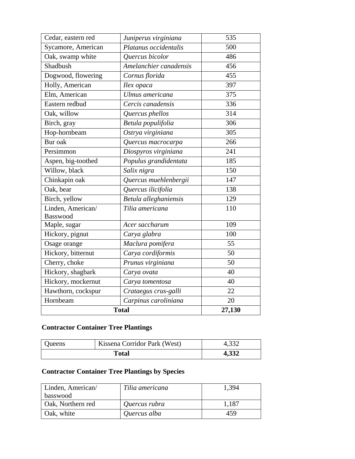| Cedar, eastern red                   | Juniperus virginiana   | 535    |
|--------------------------------------|------------------------|--------|
| Sycamore, American                   | Platanus occidentalis  | 500    |
| Oak, swamp white                     | Quercus bicolor        | 486    |
| Shadbush                             | Amelanchier canadensis | 456    |
| Dogwood, flowering                   | Cornus florida         | 455    |
| Holly, American                      | Ilex opaca             | 397    |
| Elm, American                        | Ulmus americana        | 375    |
| Eastern redbud                       | Cercis canadensis      | 336    |
| Oak, willow                          | Quercus phellos        | 314    |
| Birch, gray                          | Betula populifolia     | 306    |
| Hop-hornbeam                         | Ostrya virginiana      | 305    |
| Bur oak                              | Quercus macrocarpa     | 266    |
| Persimmon                            | Diospyros virginiana   | 241    |
| Aspen, big-toothed                   | Populus grandidentata  | 185    |
| Willow, black                        | Salix nigra            | 150    |
| Chinkapin oak                        | Quercus muehlenbergii  | 147    |
| Oak, bear                            | Quercus ilicifolia     | 138    |
| Birch, yellow                        | Betula alleghaniensis  | 129    |
| Linden, American/<br><b>Basswood</b> | Tilia americana        | 110    |
| Maple, sugar                         | Acer saccharum         | 109    |
| Hickory, pignut                      | Carya glabra           | 100    |
| Osage orange                         | Maclura pomifera       | 55     |
| Hickory, bitternut                   | Carya cordiformis      | 50     |
| Cherry, choke                        | Prunus virginiana      | 50     |
| Hickory, shagbark                    | Carya ovata            | 40     |
| Hickory, mockernut                   | Carya tomentosa        | 40     |
| Hawthorn, cockspur                   | Crataegus crus-galli   | 22     |
| Hornbeam                             | Carpinus caroliniana   | 20     |
|                                      | <b>Total</b>           | 27,130 |

# **Contractor Container Tree Plantings**

| <b>Oueens</b> | Kissena Corridor Park (West) | 4,332 |
|---------------|------------------------------|-------|
| Total         |                              | 4,332 |

# **Contractor Container Tree Plantings by Species**

| Linden, American/<br>basswood | Tilia americana | 1,394 |
|-------------------------------|-----------------|-------|
| <b>Oak, Northern red</b>      | Quercus rubra   | 1,187 |
| Oak, white                    | Quercus alba    | 459   |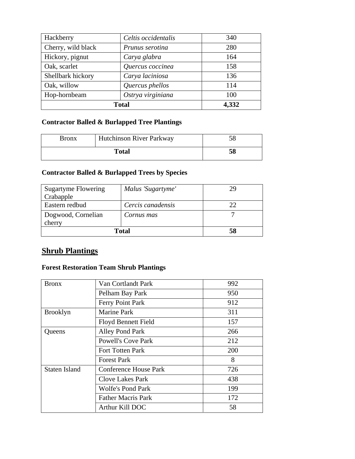| Hackberry          | Celtis occidentalis | 340   |
|--------------------|---------------------|-------|
| Cherry, wild black | Prunus serotina     | 280   |
| Hickory, pignut    | Carya glabra        | 164   |
| Oak, scarlet       | Quercus coccinea    | 158   |
| Shellbark hickory  | Carya laciniosa     | 136   |
| Oak, willow        | Quercus phellos     | 114   |
| Hop-hornbeam       | Ostrya virginiana   | 100   |
| Total              |                     | 4,332 |

#### **Contractor Balled & Burlapped Tree Plantings**

| Bronx        | <b>Hutchinson River Parkway</b> |    |
|--------------|---------------------------------|----|
| <b>Total</b> |                                 | 58 |

#### **Contractor Balled & Burlapped Trees by Species**

| <b>Sugartyme Flowering</b><br>Crabapple | Malus 'Sugartyme' | 29 |
|-----------------------------------------|-------------------|----|
| Eastern redbud                          | Cercis canadensis |    |
| Dogwood, Cornelian<br>cherry            | Cornus mas        |    |
| Total                                   |                   | 58 |

# **Shrub Plantings**

#### **Forest Restoration Team Shrub Plantings**

| <b>Bronx</b>         | Van Cortlandt Park           | 992 |
|----------------------|------------------------------|-----|
|                      | Pelham Bay Park              | 950 |
|                      | Ferry Point Park             | 912 |
| <b>Brooklyn</b>      | <b>Marine Park</b>           | 311 |
|                      | <b>Floyd Bennett Field</b>   | 157 |
| Queens               | <b>Alley Pond Park</b>       | 266 |
|                      | <b>Powell's Cove Park</b>    | 212 |
|                      | Fort Totten Park             | 200 |
|                      | <b>Forest Park</b>           | 8   |
| <b>Staten Island</b> | <b>Conference House Park</b> | 726 |
|                      | <b>Clove Lakes Park</b>      | 438 |
|                      | <b>Wolfe's Pond Park</b>     | 199 |
|                      | <b>Father Macris Park</b>    | 172 |
|                      | Arthur Kill DOC              | 58  |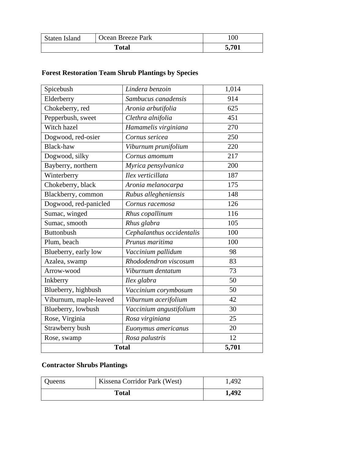| Staten Island | Ocean Breeze Park | 100   |
|---------------|-------------------|-------|
| Total         |                   | 5,701 |

# **Forest Restoration Team Shrub Plantings by Species**

| Spicebush              | Lindera benzoin           | 1,014 |
|------------------------|---------------------------|-------|
| Elderberry             | Sambucus canadensis       | 914   |
| Chokeberry, red        | Aronia arbutifolia        | 625   |
| Pepperbush, sweet      | Clethra alnifolia         | 451   |
| Witch hazel            | Hamamelis virginiana      | 270   |
| Dogwood, red-osier     | Cornus sericea            | 250   |
| <b>Black-haw</b>       | Viburnum prunifolium      | 220   |
| Dogwood, silky         | Cornus amomum             | 217   |
| Bayberry, northern     | Myrica pensylvanica       | 200   |
| Winterberry            | Ilex verticillata         | 187   |
| Chokeberry, black      | Aronia melanocarpa        | 175   |
| Blackberry, common     | Rubus allegheniensis      | 148   |
| Dogwood, red-panicled  | Cornus racemosa           | 126   |
| Sumac, winged          | Rhus copallinum           | 116   |
| Sumac, smooth          | Rhus glabra               | 105   |
| <b>Buttonbush</b>      | Cephalanthus occidentalis | 100   |
| Plum, beach            | Prunus maritima           | 100   |
| Blueberry, early low   | Vaccinium pallidum        | 98    |
| Azalea, swamp          | Rhododendron viscosum     | 83    |
| Arrow-wood             | Viburnum dentatum         | 73    |
| Inkberry               | Ilex glabra               | 50    |
| Blueberry, highbush    | Vaccinium corymbosum      | 50    |
| Viburnum, maple-leaved | Viburnum acerifolium      | 42    |
| Blueberry, lowbush     | Vaccinium angustifolium   | 30    |
| Rose, Virginia         | Rosa virginiana           | 25    |
| Strawberry bush        | Euonymus americanus       | 20    |
| Rose, swamp            | Rosa palustris            | 12    |
| <b>Total</b>           | 5,701                     |       |

# **Contractor Shrubs Plantings**

| <b>Oueens</b> | Kissena Corridor Park (West) | 1,492 |
|---------------|------------------------------|-------|
| <b>Total</b>  |                              | 1,492 |